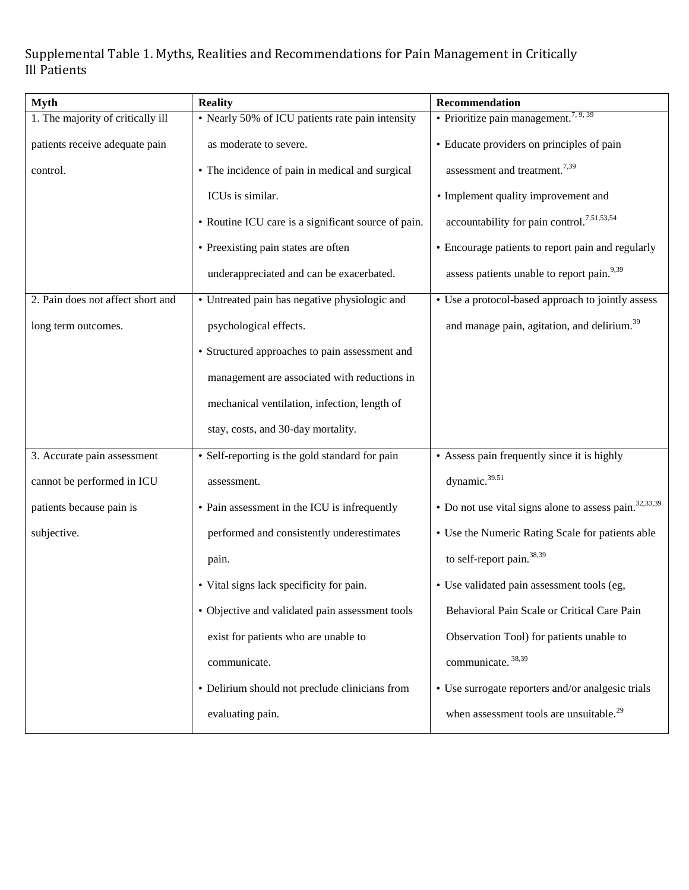Supplemental Table 1. Myths, Realities and Recommendations for Pain Management in Critically Ill Patients

| <b>Myth</b>                       | <b>Reality</b>                                      | Recommendation                                                     |
|-----------------------------------|-----------------------------------------------------|--------------------------------------------------------------------|
| 1. The majority of critically ill | • Nearly 50% of ICU patients rate pain intensity    | $\cdot$ Prioritize pain management. <sup>7, 9, 39</sup>            |
| patients receive adequate pain    | as moderate to severe.                              | • Educate providers on principles of pain                          |
| control.                          | • The incidence of pain in medical and surgical     | assessment and treatment. <sup>7,39</sup>                          |
|                                   | ICUs is similar.                                    | • Implement quality improvement and                                |
|                                   | • Routine ICU care is a significant source of pain. | accountability for pain control. <sup>7,51,53,54</sup>             |
|                                   | • Preexisting pain states are often                 | • Encourage patients to report pain and regularly                  |
|                                   | underappreciated and can be exacerbated.            | assess patients unable to report pain. <sup>9,39</sup>             |
| 2. Pain does not affect short and | • Untreated pain has negative physiologic and       | • Use a protocol-based approach to jointly assess                  |
| long term outcomes.               | psychological effects.                              | and manage pain, agitation, and delirium. <sup>39</sup>            |
|                                   | • Structured approaches to pain assessment and      |                                                                    |
|                                   | management are associated with reductions in        |                                                                    |
|                                   | mechanical ventilation, infection, length of        |                                                                    |
|                                   | stay, costs, and 30-day mortality.                  |                                                                    |
| 3. Accurate pain assessment       | • Self-reporting is the gold standard for pain      | • Assess pain frequently since it is highly                        |
| cannot be performed in ICU        | assessment.                                         | dynamic. <sup>39.51</sup>                                          |
| patients because pain is          | • Pain assessment in the ICU is infrequently        | • Do not use vital signs alone to assess pain. <sup>32,33,39</sup> |
| subjective.                       | performed and consistently underestimates           | • Use the Numeric Rating Scale for patients able                   |
|                                   | pain.                                               | to self-report pain. <sup>38,39</sup>                              |
|                                   | • Vital signs lack specificity for pain.            | • Use validated pain assessment tools (eg,                         |
|                                   | • Objective and validated pain assessment tools     | Behavioral Pain Scale or Critical Care Pain                        |
|                                   | exist for patients who are unable to                | Observation Tool) for patients unable to                           |
|                                   | communicate.                                        | communicate. 38,39                                                 |
|                                   | • Delirium should not preclude clinicians from      | • Use surrogate reporters and/or analgesic trials                  |
|                                   | evaluating pain.                                    | when assessment tools are unsuitable. <sup>29</sup>                |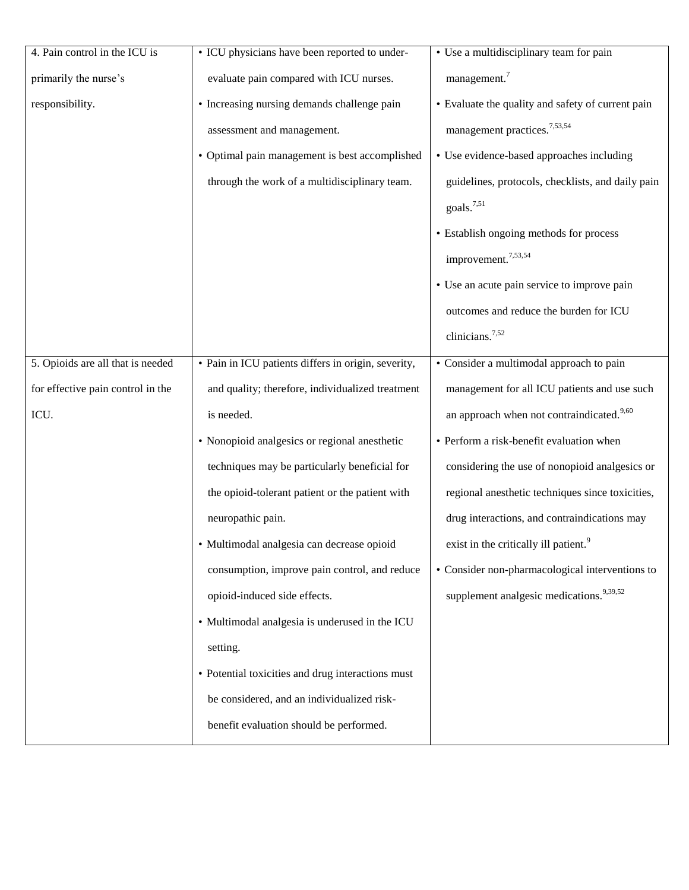| 4. Pain control in the ICU is     | • ICU physicians have been reported to under-       | • Use a multidisciplinary team for pain               |
|-----------------------------------|-----------------------------------------------------|-------------------------------------------------------|
| primarily the nurse's             | evaluate pain compared with ICU nurses.             | management. <sup>7</sup>                              |
| responsibility.                   | • Increasing nursing demands challenge pain         | • Evaluate the quality and safety of current pain     |
|                                   | assessment and management.                          | management practices. <sup>7,53,54</sup>              |
|                                   | • Optimal pain management is best accomplished      | • Use evidence-based approaches including             |
|                                   | through the work of a multidisciplinary team.       | guidelines, protocols, checklists, and daily pain     |
|                                   |                                                     | goals. <sup>7,51</sup>                                |
|                                   |                                                     | • Establish ongoing methods for process               |
|                                   |                                                     | improvement. <sup>7,53,54</sup>                       |
|                                   |                                                     | • Use an acute pain service to improve pain           |
|                                   |                                                     | outcomes and reduce the burden for ICU                |
|                                   |                                                     | clinicians. <sup>7,52</sup>                           |
| 5. Opioids are all that is needed | · Pain in ICU patients differs in origin, severity, | • Consider a multimodal approach to pain              |
| for effective pain control in the | and quality; therefore, individualized treatment    | management for all ICU patients and use such          |
| ICU.                              | is needed.                                          | an approach when not contraindicated. <sup>9,60</sup> |
|                                   | • Nonopioid analgesics or regional anesthetic       | • Perform a risk-benefit evaluation when              |
|                                   | techniques may be particularly beneficial for       | considering the use of nonopioid analgesics or        |
|                                   | the opioid-tolerant patient or the patient with     | regional anesthetic techniques since toxicities,      |
|                                   | neuropathic pain.                                   | drug interactions, and contraindications may          |
|                                   | · Multimodal analgesia can decrease opioid          | exist in the critically ill patient. <sup>9</sup>     |
|                                   | consumption, improve pain control, and reduce       | • Consider non-pharmacological interventions to       |
|                                   | opioid-induced side effects.                        | supplement analgesic medications. <sup>9,39,52</sup>  |
|                                   | • Multimodal analgesia is underused in the ICU      |                                                       |
|                                   | setting.                                            |                                                       |
|                                   | • Potential toxicities and drug interactions must   |                                                       |
|                                   | be considered, and an individualized risk-          |                                                       |
|                                   | benefit evaluation should be performed.             |                                                       |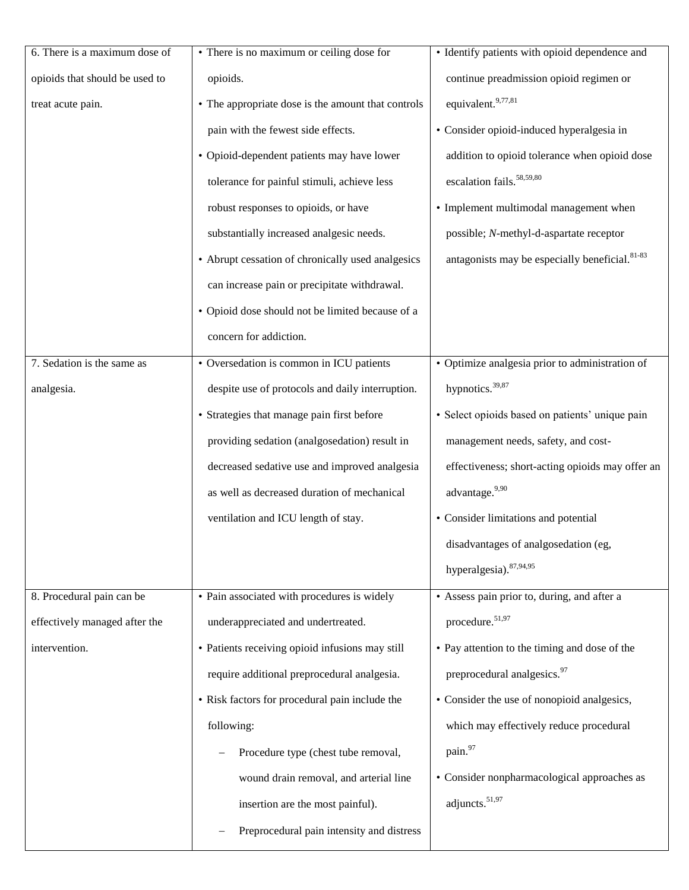| 6. There is a maximum dose of  | • There is no maximum or ceiling dose for          | • Identify patients with opioid dependence and             |
|--------------------------------|----------------------------------------------------|------------------------------------------------------------|
| opioids that should be used to | opioids.                                           | continue preadmission opioid regimen or                    |
| treat acute pain.              | • The appropriate dose is the amount that controls | equivalent. <sup>9,77,81</sup>                             |
|                                | pain with the fewest side effects.                 | • Consider opioid-induced hyperalgesia in                  |
|                                | • Opioid-dependent patients may have lower         | addition to opioid tolerance when opioid dose              |
|                                | tolerance for painful stimuli, achieve less        | escalation fails. <sup>58,59,80</sup>                      |
|                                | robust responses to opioids, or have               | • Implement multimodal management when                     |
|                                | substantially increased analgesic needs.           | possible; N-methyl-d-aspartate receptor                    |
|                                | • Abrupt cessation of chronically used analgesics  | antagonists may be especially beneficial. <sup>81-83</sup> |
|                                | can increase pain or precipitate withdrawal.       |                                                            |
|                                | • Opioid dose should not be limited because of a   |                                                            |
|                                | concern for addiction.                             |                                                            |
| 7. Sedation is the same as     | • Oversedation is common in ICU patients           | • Optimize analgesia prior to administration of            |
| analgesia.                     | despite use of protocols and daily interruption.   | hypnotics. $39,87$                                         |
|                                | • Strategies that manage pain first before         | · Select opioids based on patients' unique pain            |
|                                | providing sedation (analgosedation) result in      | management needs, safety, and cost-                        |
|                                | decreased sedative use and improved analgesia      | effectiveness; short-acting opioids may offer an           |
|                                | as well as decreased duration of mechanical        | advantage. <sup>9,90</sup>                                 |
|                                | ventilation and ICU length of stay.                | • Consider limitations and potential                       |
|                                |                                                    | disadvantages of analgosedation (eg.                       |
|                                |                                                    | hyperalgesia). 87,94,95                                    |
| 8. Procedural pain can be      | • Pain associated with procedures is widely        | • Assess pain prior to, during, and after a                |
| effectively managed after the  | underappreciated and undertreated.                 | procedure. <sup>51,97</sup>                                |
| intervention.                  | • Patients receiving opioid infusions may still    | • Pay attention to the timing and dose of the              |
|                                | require additional preprocedural analgesia.        | preprocedural analgesics. <sup>97</sup>                    |
|                                | • Risk factors for procedural pain include the     | • Consider the use of nonopioid analgesics,                |
|                                | following:                                         | which may effectively reduce procedural                    |
|                                | Procedure type (chest tube removal,                | pain.97                                                    |
|                                | wound drain removal, and arterial line             | • Consider nonpharmacological approaches as                |
|                                | insertion are the most painful).                   | adjuncts. <sup>51,97</sup>                                 |
|                                | Preprocedural pain intensity and distress          |                                                            |
|                                |                                                    |                                                            |